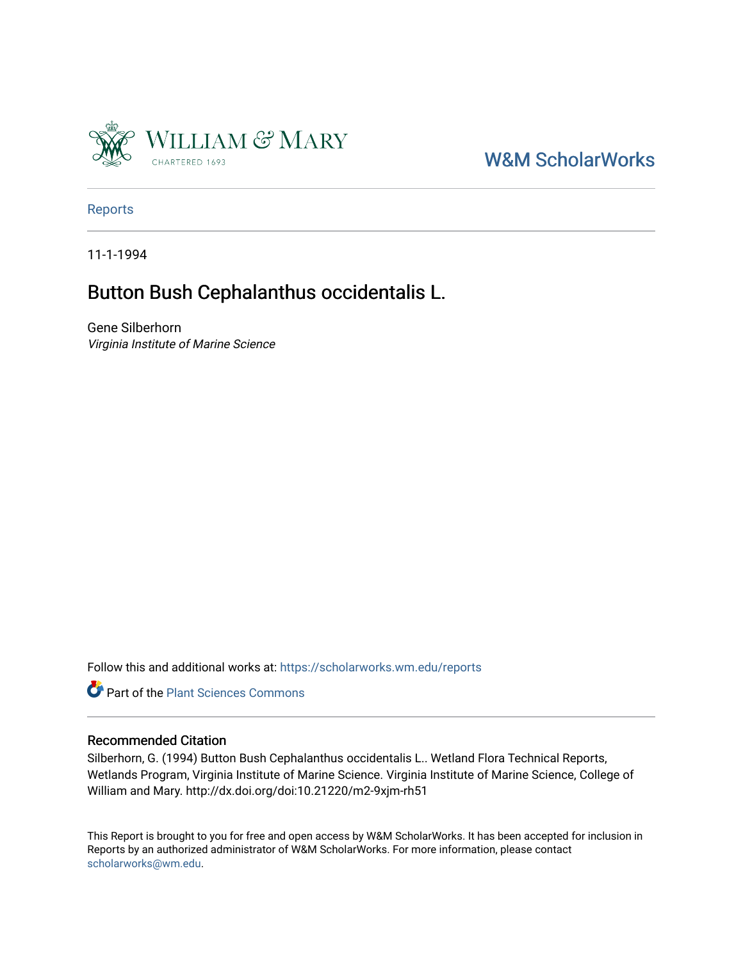

## [W&M ScholarWorks](https://scholarworks.wm.edu/)

[Reports](https://scholarworks.wm.edu/reports)

11-1-1994

### Button Bush Cephalanthus occidentalis L.

Gene Silberhorn Virginia Institute of Marine Science

Follow this and additional works at: [https://scholarworks.wm.edu/reports](https://scholarworks.wm.edu/reports?utm_source=scholarworks.wm.edu%2Freports%2F476&utm_medium=PDF&utm_campaign=PDFCoverPages)



#### Recommended Citation

Silberhorn, G. (1994) Button Bush Cephalanthus occidentalis L.. Wetland Flora Technical Reports, Wetlands Program, Virginia Institute of Marine Science. Virginia Institute of Marine Science, College of William and Mary. http://dx.doi.org/doi:10.21220/m2-9xjm-rh51

This Report is brought to you for free and open access by W&M ScholarWorks. It has been accepted for inclusion in Reports by an authorized administrator of W&M ScholarWorks. For more information, please contact [scholarworks@wm.edu.](mailto:scholarworks@wm.edu)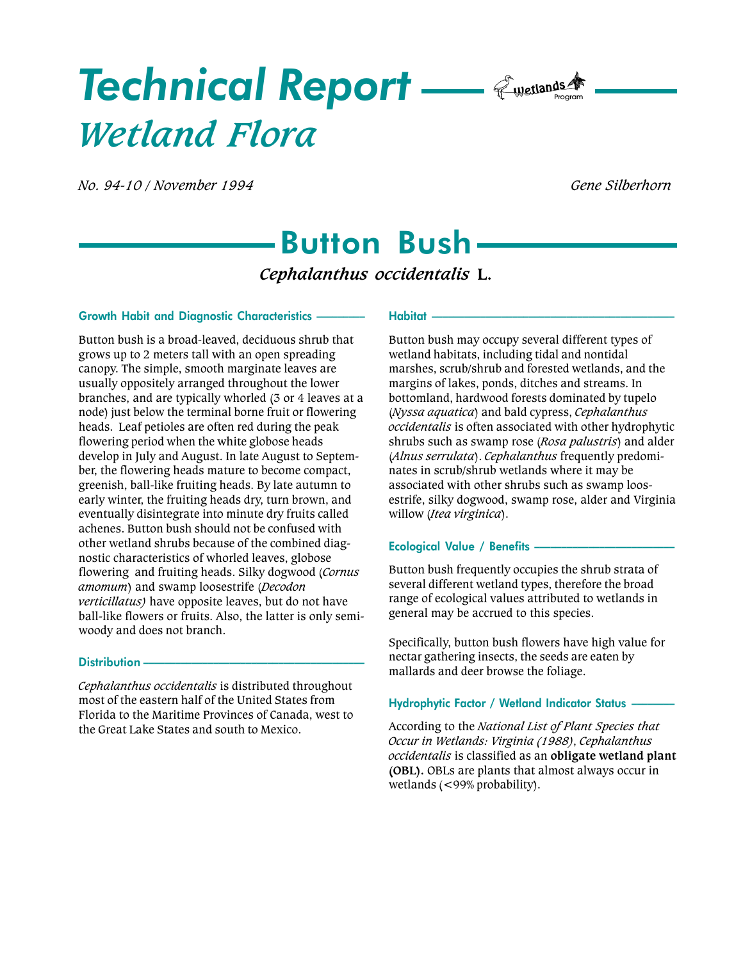# Technical Report — *E*wetlands A Wetland Flora

No. 94-10 / November 1994 Gene Silberhorn

# Button Bush

Cephalanthus occidentalis L.

#### Growth Habit and Diagnostic Characteristics

Button bush is a broad-leaved, deciduous shrub that grows up to 2 meters tall with an open spreading canopy. The simple, smooth marginate leaves are usually oppositely arranged throughout the lower branches, and are typically whorled (3 or 4 leaves at a node) just below the terminal borne fruit or flowering heads. Leaf petioles are often red during the peak flowering period when the white globose heads develop in July and August. In late August to September, the flowering heads mature to become compact, greenish, ball-like fruiting heads. By late autumn to early winter, the fruiting heads dry, turn brown, and eventually disintegrate into minute dry fruits called achenes. Button bush should not be confused with other wetland shrubs because of the combined diagnostic characteristics of whorled leaves, globose flowering and fruiting heads. Silky dogwood (Cornus amomum) and swamp loosestrife (Decodon verticillatus) have opposite leaves, but do not have ball-like flowers or fruits. Also, the latter is only semiwoody and does not branch.

#### Distribution -

Cephalanthus occidentalis is distributed throughout most of the eastern half of the United States from Florida to the Maritime Provinces of Canada, west to the Great Lake States and south to Mexico.

#### Habitat

Button bush may occupy several different types of wetland habitats, including tidal and nontidal marshes, scrub/shrub and forested wetlands, and the margins of lakes, ponds, ditches and streams. In bottomland, hardwood forests dominated by tupelo (Nyssa aquatica) and bald cypress, Cephalanthus occidentalis is often associated with other hydrophytic shrubs such as swamp rose (Rosa palustris) and alder (Alnus serrulata). Cephalanthus frequently predominates in scrub/shrub wetlands where it may be associated with other shrubs such as swamp loosestrife, silky dogwood, swamp rose, alder and Virginia willow (Itea virginica).

#### Ecological Value / Benefits

Button bush frequently occupies the shrub strata of several different wetland types, therefore the broad range of ecological values attributed to wetlands in general may be accrued to this species.

Specifically, button bush flowers have high value for nectar gathering insects, the seeds are eaten by mallards and deer browse the foliage.

#### Hydrophytic Factor / Wetland Indicator Status

According to the National List of Plant Species that Occur in Wetlands: Virginia (1988), Cephalanthus occidentalis is classified as an obligate wetland plant (OBL). OBLs are plants that almost always occur in wetlands (<99% probability).